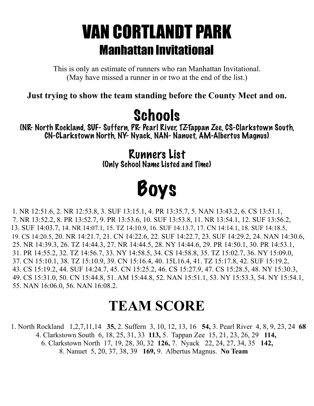### VAN CORTLANDT PARK Manhattan Invitational

This is only an estimate of runners who ran Manhattan Invitational. (May have missed a runner in or two at the end of the list.)

**Just trying to show the team standing before the County Meet and on.** 

#### **Schools**

(NR- North Rockland, SUF- Suffern, PR- Pearl River, TZ-Tappan Zee, CS-Clarkstown South, CN-CLarkstown North, NY- Nyack, NAN- Nanuet, AM-Albertus Magnus)

> Runners List (Only School Name Listed and Time)

# Boys

1. NR 12:51.6, 2. NR 12:53.8, 3. SUF 13:15.1, 4. PR 13:35.7, 5. NAN 13:43.2, 6. CS 13:51.1, 7. NR 13:52.2, 8. PR 13:52.7, 9. PR 13:53.6, 10. SUF 13:53.8, 11. NR 13:54.1, 12. SUF 13:56.2, 13. SUF 14:03.7, 14. NR 14:07.1, 15. TZ 14:10.9, 16. SUF 14:13.7, 17. CN 14:14.1, 18. SUF 14:18.5, 19. CS 14:20.5, 20. NR 14:21.7, 21. CN 14:22.6, 22. SUF 14:22.7, 23. SUF 14:29.2, 24. NAN 14:30.6, 25. NR 14:39.3, 26. TZ 14:44.3, 27. NR 14:44.5, 28. NY 14:44.6, 29. PR 14:50.1, 30. PR 14:53.1, 31. PR 14:55.2, 32. TZ 14:56.7, 33. NY 14:58.5, 34. CS 14:58.8, 35. TZ 15:02.7, 36. NY 15:09.0, 37. CN 15:10.1, 38. TZ 15:10.9, 39. CN 15:16.4, 40. 15L16.4, 41. TZ 15:17.8, 42. SUF 15:19.2, 43. CS 15:19.2, 44. SUF 14:24.7, 45. CN 15:25.2, 46. CS 15:27.9, 47. CS 15:28.5, 48. NY 15:30.3, 49. CS 15:31.0, 50. CN 15:44.8, 51. AM 15:44.8, 52. NAN 15:51.1, 53. NY 15:53.3, 54. NY 15:54.1, 55. NAN 16:06.0, 56. NAN 16:08.2.

#### **TEAM SCORE**

 1. North Rockland 1,2,7,11,14 **35,** 2. Suffern 3, 10, 12, 13, 16 **54,** 3. Pearl River 4, 8, 9, 23, 24 **68** 4. Clarkstown South 6, 18, 25, 31, 33 **113,** 5. Tappan Zee 15, 21, 23, 26, 29 **114,** 6. Clarkstown North 17, 19, 28, 30, 32 **126,** 7. Nyack 22, 24, 27, 34, 35 **142,** 8. Nanuet 5, 20, 37, 38, 39 **169,** 9. Albertus Magnus. **No Team**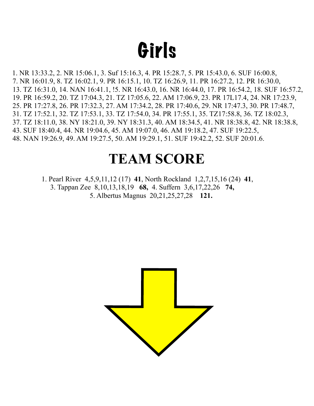## Girls

1. NR 13:33.2, 2. NR 15:06.1, 3. Suf 15:16.3, 4. PR 15:28.7, 5. PR 15:43.0, 6. SUF 16:00.8, 7. NR 16:01.9, 8. TZ 16:02.1, 9. PR 16:15.1, 10. TZ 16:26.9, 11. PR 16:27.2, 12. PR 16:30.0, 13. TZ 16:31.0, 14. NAN 16:41.1, !5. NR 16:43.0, 16. NR 16:44.0, 17. PR 16:54.2, 18. SUF 16:57.2, 19. PR 16:59.2, 20. TZ 17:04.3, 21. TZ 17:05.6, 22. AM 17:06.9, 23. PR 17L17.4, 24. NR 17:23.9, 25. PR 17:27.8, 26. PR 17:32.3, 27. AM 17:34.2, 28. PR 17:40.6, 29. NR 17:47.3, 30. PR 17:48.7, 31. TZ 17:52.1, 32. TZ 17:53.1, 33. TZ 17:54.0, 34. PR 17:55.1, 35. TZ17:58.8, 36. TZ 18:02.3, 37. TZ 18:11.0, 38. NY 18:21.0, 39. NY 18:31.3, 40. AM 18:34.5, 41. NR 18:38.8, 42. NR 18:38.8, 43. SUF 18:40.4, 44. NR 19:04.6, 45. AM 19:07.0, 46. AM 19:18.2, 47. SUF 19:22.5, 48. NAN 19:26.9, 49. AM 19:27.5, 50. AM 19:29.1, 51. SUF 19:42.2, 52. SUF 20:01.6.

#### **TEAM SCORE**

 1. Pearl River 4,5,9,11,12 (17) **41**, North Rockland 1,2,7,15,16 (24) **41**, 3. Tappan Zee 8,10,13,18,19 **68,** 4. Suffern 3,6,17,22,26 **74,** 5. Albertus Magnus 20,21,25,27,28 **121.** 

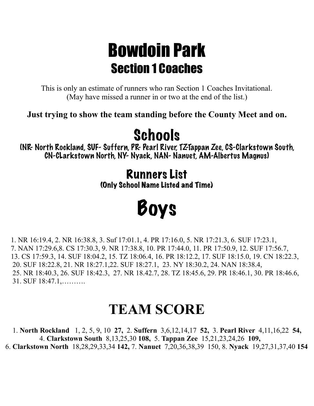#### Bowdoin Park Section 1 Coaches

This is only an estimate of runners who ran Section 1 Coaches Invitational. (May have missed a runner in or two at the end of the list.)

**Just trying to show the team standing before the County Meet and on.** 

### **Schools**

(NR- North Rockland, SUF- Suffern, PR- Pearl River, TZ-Tappan Zee, CS-Clarkstown South, CN-CLarkstown North, NY- Nyack, NAN- Nanuet, AM-Albertus Magnus)

> Runners List (Only School Name Listed and Time)

# Boys

1. NR 16:19.4, 2. NR 16:38.8, 3. Suf 17:01.1, 4. PR 17:16.0, 5. NR 17:21.3, 6. SUF 17:23.1, 7. NAN 17:29.6,8. CS 17:30.3, 9. NR 17:38.8, 10. PR 17:44.0, 11. PR 17:50.9, 12. SUF 17:56.7, 13. CS 17:59.3, 14. SUF 18:04.2, 15. TZ 18:06.4, 16. PR 18:12.2, 17. SUF 18:15.0, 19. CN 18:22.3, 20. SUF 18:22.8, 21. NR 18:27.1,22. SUF 18:27.1, 23. NY 18:30.2, 24. NAN 18:38.4, 25. NR 18:40.3, 26. SUF 18:42.3, 27. NR 18.42.7, 28. TZ 18:45.6, 29. PR 18:46.1, 30. PR 18:46.6, 31. SUF 18:47.1,……….

#### **TEAM SCORE**

 1. **North Rockland** 1, 2, 5, 9, 10 **27,** 2. **Suffern** 3,6,12,14,17 **52,** 3. **Pearl River** 4,11,16,22 **54,** 4. **Clarkstown South** 8,13,25,30 **108,** 5. **Tappan Zee** 15,21,23,24,26 **109,**  6. **Clarkstown North** 18,28,29,33,34 **142,** 7. **Nanuet** 7,20,36,38,39 150, 8. **Nyack** 19,27,31,37,40 **154**